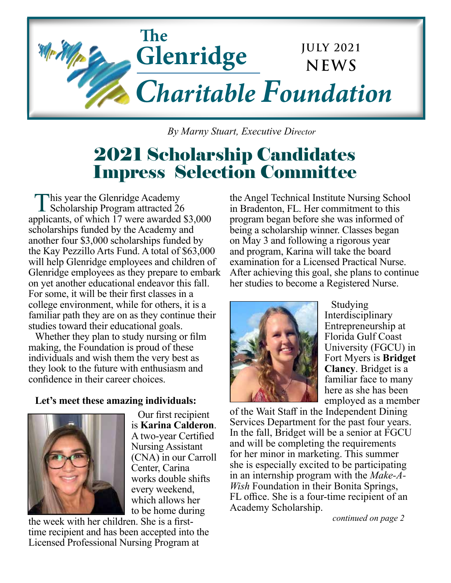

 *By Marny Stuart, Executive Director*

## 2021 Scholarship Candidates Impress Selection Committee

This year the Glenridge Academy Scholarship Program attracted 26 applicants, of which 17 were awarded \$3,000 scholarships funded by the Academy and another four \$3,000 scholarships funded by the Kay Pezzillo Arts Fund. A total of \$63,000 will help Glenridge employees and children of Glenridge employees as they prepare to embark on yet another educational endeavor this fall. For some, it will be their first classes in a college environment, while for others, it is a familiar path they are on as they continue their studies toward their educational goals.

Whether they plan to study nursing or film making, the Foundation is proud of these individuals and wish them the very best as they look to the future with enthusiasm and confidence in their career choices.

## **Let's meet these amazing individuals:**



Our first recipient is **Karina Calderon**. A two-year Certified Nursing Assistant (CNA) in our Carroll Center, Carina works double shifts every weekend, which allows her to be home during

the week with her children. She is a firsttime recipient and has been accepted into the Licensed Professional Nursing Program at

the Angel Technical Institute Nursing School in Bradenton, FL. Her commitment to this program began before she was informed of being a scholarship winner. Classes began on May 3 and following a rigorous year and program, Karina will take the board examination for a Licensed Practical Nurse. After achieving this goal, she plans to continue her studies to become a Registered Nurse.



Studying Interdisciplinary Entrepreneurship at Florida Gulf Coast University (FGCU) in Fort Myers is **Bridget Clancy**. Bridget is a familiar face to many here as she has been employed as a member

of the Wait Staff in the Independent Dining Services Department for the past four years. In the fall, Bridget will be a senior at FGCU and will be completing the requirements for her minor in marketing. This summer she is especially excited to be participating in an internship program with the *Make-A-Wish* Foundation in their Bonita Springs, FL office. She is a four-time recipient of an Academy Scholarship.

*continued on page 2*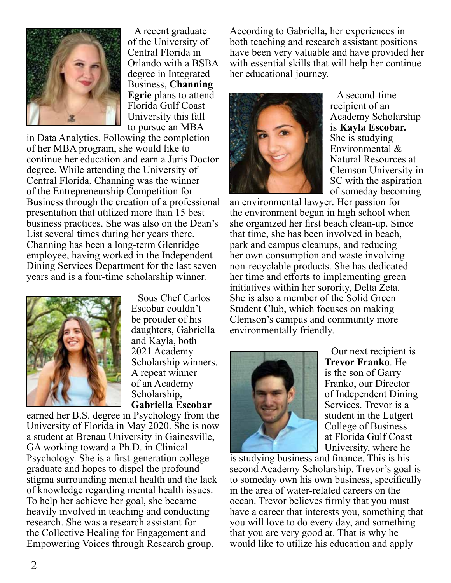

A recent graduate of the University of Central Florida in Orlando with a BSBA degree in Integrated Business, **Channing Egrie** plans to attend Florida Gulf Coast University this fall to pursue an MBA

in Data Analytics. Following the completion of her MBA program, she would like to continue her education and earn a Juris Doctor degree. While attending the University of Central Florida, Channing was the winner of the Entrepreneurship Competition for Business through the creation of a professional presentation that utilized more than 15 best business practices. She was also on the Dean's List several times during her years there. Channing has been a long-term Glenridge employee, having worked in the Independent Dining Services Department for the last seven years and is a four-time scholarship winner.



Sous Chef Carlos Escobar couldn't be prouder of his daughters, Gabriella and Kayla, both 2021 Academy Scholarship winners. A repeat winner of an Academy Scholarship, **Gabriella Escobar**

earned her B.S. degree in Psychology from the University of Florida in May 2020. She is now a student at Brenau University in Gainesville, GA working toward a Ph.D. in Clinical Psychology. She is a first-generation college graduate and hopes to dispel the profound stigma surrounding mental health and the lack of knowledge regarding mental health issues. To help her achieve her goal, she became heavily involved in teaching and conducting research. She was a research assistant for the Collective Healing for Engagement and Empowering Voices through Research group.

According to Gabriella, her experiences in both teaching and research assistant positions have been very valuable and have provided her with essential skills that will help her continue her educational journey.



A second-time recipient of an Academy Scholarship is **Kayla Escobar.**  She is studying Environmental & Natural Resources at Clemson University in SC with the aspiration of someday becoming

an environmental lawyer. Her passion for the environment began in high school when she organized her first beach clean-up. Since that time, she has been involved in beach, park and campus cleanups, and reducing her own consumption and waste involving non-recyclable products. She has dedicated her time and efforts to implementing green initiatives within her sorority, Delta Zeta. She is also a member of the Solid Green Student Club, which focuses on making Clemson's campus and community more environmentally friendly.



Our next recipient is **Trevor Franko**. He is the son of Garry Franko, our Director of Independent Dining Services. Trevor is a student in the Lutgert College of Business at Florida Gulf Coast University, where he

is studying business and finance. This is his second Academy Scholarship. Trevor's goal is to someday own his own business, specifically in the area of water-related careers on the ocean. Trevor believes firmly that you must have a career that interests you, something that you will love to do every day, and something that you are very good at. That is why he would like to utilize his education and apply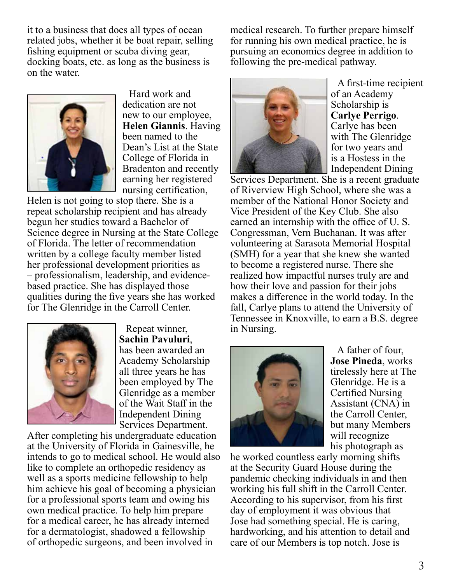it to a business that does all types of ocean related jobs, whether it be boat repair, selling fishing equipment or scuba diving gear, docking boats, etc. as long as the business is on the water.



Hard work and dedication are not new to our employee, **Helen Giannis**. Having been named to the Dean's List at the State College of Florida in Bradenton and recently earning her registered nursing certification,

Helen is not going to stop there. She is a repeat scholarship recipient and has already begun her studies toward a Bachelor of Science degree in Nursing at the State College of Florida. The letter of recommendation written by a college faculty member listed her professional development priorities as – professionalism, leadership, and evidencebased practice. She has displayed those qualities during the five years she has worked for The Glenridge in the Carroll Center.



Repeat winner, **Sachin Pavuluri**, has been awarded an Academy Scholarship all three years he has been employed by The Glenridge as a member of the Wait Staff in the Independent Dining Services Department.

After completing his undergraduate education at the University of Florida in Gainesville, he intends to go to medical school. He would also like to complete an orthopedic residency as well as a sports medicine fellowship to help him achieve his goal of becoming a physician for a professional sports team and owing his own medical practice. To help him prepare for a medical career, he has already interned for a dermatologist, shadowed a fellowship of orthopedic surgeons, and been involved in

medical research. To further prepare himself for running his own medical practice, he is pursuing an economics degree in addition to following the pre-medical pathway.



A first-time recipient of an Academy Scholarship is **Carlye Perrigo**. Carlye has been with The Glenridge for two years and is a Hostess in the Independent Dining

Services Department. She is a recent graduate of Riverview High School, where she was a member of the National Honor Society and Vice President of the Key Club. She also earned an internship with the office of U. S. Congressman, Vern Buchanan. It was after volunteering at Sarasota Memorial Hospital (SMH) for a year that she knew she wanted to become a registered nurse. There she realized how impactful nurses truly are and how their love and passion for their jobs makes a difference in the world today. In the fall, Carlye plans to attend the University of Tennessee in Knoxville, to earn a B.S. degree in Nursing.



A father of four, **Jose Pineda**, works tirelessly here at The Glenridge. He is a Certified Nursing Assistant (CNA) in the Carroll Center, but many Members will recognize his photograph as

he worked countless early morning shifts at the Security Guard House during the pandemic checking individuals in and then working his full shift in the Carroll Center. According to his supervisor, from his first day of employment it was obvious that Jose had something special. He is caring, hardworking, and his attention to detail and care of our Members is top notch. Jose is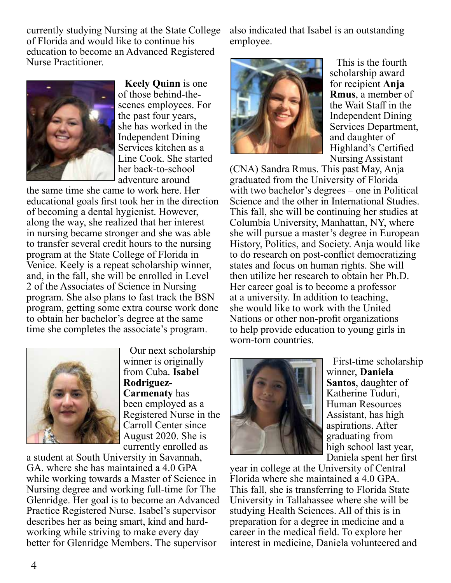currently studying Nursing at the State College of Florida and would like to continue his education to become an Advanced Registered Nurse Practitioner.



**Keely Quinn** is one of those behind-thescenes employees. For the past four years, she has worked in the Independent Dining Services kitchen as a Line Cook. She started her back-to-school adventure around

the same time she came to work here. Her educational goals first took her in the direction of becoming a dental hygienist. However, along the way, she realized that her interest in nursing became stronger and she was able to transfer several credit hours to the nursing program at the State College of Florida in Venice. Keely is a repeat scholarship winner, and, in the fall, she will be enrolled in Level 2 of the Associates of Science in Nursing program. She also plans to fast track the BSN program, getting some extra course work done to obtain her bachelor's degree at the same time she completes the associate's program.



Our next scholarship winner is originally from Cuba. **Isabel Rodriguez-Carmenaty** has been employed as a Registered Nurse in the Carroll Center since August 2020. She is currently enrolled as

a student at South University in Savannah, GA. where she has maintained a 4.0 GPA while working towards a Master of Science in Nursing degree and working full-time for The Glenridge. Her goal is to become an Advanced Practice Registered Nurse. Isabel's supervisor describes her as being smart, kind and hardworking while striving to make every day better for Glenridge Members. The supervisor

also indicated that Isabel is an outstanding employee.



This is the fourth scholarship award for recipient **Anja Rmus**, a member of the Wait Staff in the Independent Dining Services Department, and daughter of Highland's Certified Nursing Assistant

(CNA) Sandra Rmus. This past May, Anja graduated from the University of Florida with two bachelor's degrees – one in Political Science and the other in International Studies. This fall, she will be continuing her studies at Columbia University, Manhattan, NY, where she will pursue a master's degree in European History, Politics, and Society. Anja would like to do research on post-conflict democratizing states and focus on human rights. She will then utilize her research to obtain her Ph.D. Her career goal is to become a professor at a university. In addition to teaching, she would like to work with the United Nations or other non-profit organizations to help provide education to young girls in worn-torn countries.



First-time scholarship winner, **Daniela Santos**, daughter of Katherine Tuduri, Human Resources Assistant, has high aspirations. After graduating from high school last year, Daniela spent her first

year in college at the University of Central Florida where she maintained a 4.0 GPA. This fall, she is transferring to Florida State University in Tallahassee where she will be studying Health Sciences. All of this is in preparation for a degree in medicine and a career in the medical field. To explore her interest in medicine, Daniela volunteered and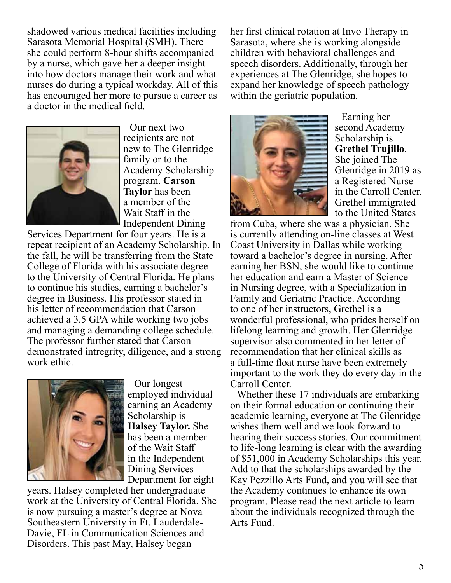shadowed various medical facilities including Sarasota Memorial Hospital (SMH). There she could perform 8-hour shifts accompanied by a nurse, which gave her a deeper insight into how doctors manage their work and what nurses do during a typical workday. All of this has encouraged her more to pursue a career as a doctor in the medical field.



Our next two recipients are not new to The Glenridge family or to the Academy Scholarship program. **Carson Taylor** has been a member of the Wait Staff in the Independent Dining

Services Department for four years. He is a repeat recipient of an Academy Scholarship. In the fall, he will be transferring from the State College of Florida with his associate degree to the University of Central Florida. He plans to continue his studies, earning a bachelor's degree in Business. His professor stated in his letter of recommendation that Carson achieved a 3.5 GPA while working two jobs and managing a demanding college schedule. The professor further stated that Carson demonstrated intregrity, diligence, and a strong work ethic.



Our longest employed individual earning an Academy Scholarship is **Halsey Taylor.** She has been a member of the Wait Staff in the Independent Dining Services Department for eight

years. Halsey completed her undergraduate work at the University of Central Florida. She is now pursuing a master's degree at Nova Southeastern University in Ft. Lauderdale-Davie, FL in Communication Sciences and Disorders. This past May, Halsey began

her first clinical rotation at Invo Therapy in Sarasota, where she is working alongside children with behavioral challenges and speech disorders. Additionally, through her experiences at The Glenridge, she hopes to expand her knowledge of speech pathology within the geriatric population.



Earning her second Academy Scholarship is **Grethel Trujillo**. She joined The Glenridge in 2019 as a Registered Nurse in the Carroll Center. Grethel immigrated to the United States

from Cuba, where she was a physician. She is currently attending on-line classes at West Coast University in Dallas while working toward a bachelor's degree in nursing. After earning her BSN, she would like to continue her education and earn a Master of Science in Nursing degree, with a Specialization in Family and Geriatric Practice. According to one of her instructors, Grethel is a wonderful professional, who prides herself on lifelong learning and growth. Her Glenridge supervisor also commented in her letter of recommendation that her clinical skills as a full-time float nurse have been extremely important to the work they do every day in the Carroll Center.

Whether these 17 individuals are embarking on their formal education or continuing their academic learning, everyone at The Glenridge wishes them well and we look forward to hearing their success stories. Our commitment to life-long learning is clear with the awarding of \$51,000 in Academy Scholarships this year. Add to that the scholarships awarded by the Kay Pezzillo Arts Fund, and you will see that the Academy continues to enhance its own program. Please read the next article to learn about the individuals recognized through the Arts Fund.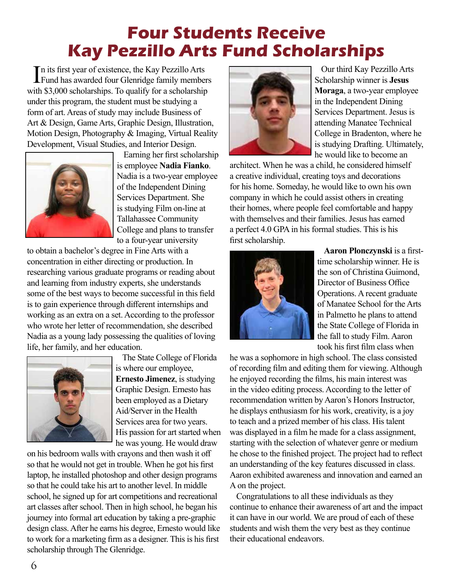## **Four Students Receive Kay Pezzillo Arts Fund Scholarships**

In its first year of existence, the Kay Pezzillo Arts<br>Fund has awarded four Glenridge family members n its first year of existence, the Kay Pezzillo Arts with \$3,000 scholarships. To qualify for a scholarship under this program, the student must be studying a form of art. Areas of study may include Business of Art & Design, Game Arts, Graphic Design, Illustration, Motion Design, Photography & Imaging, Virtual Reality Development, Visual Studies, and Interior Design.



Earning her first scholarship is employee **Nadia Fianko**. Nadia is a two-year employee of the Independent Dining Services Department. She is studying Film on-line at Tallahassee Community College and plans to transfer to a four-year university

to obtain a bachelor's degree in Fine Arts with a concentration in either directing or production. In researching various graduate programs or reading about and learning from industry experts, she understands some of the best ways to become successful in this field is to gain experience through different internships and working as an extra on a set. According to the professor who wrote her letter of recommendation, she described Nadia as a young lady possessing the qualities of loving life, her family, and her education.



The State College of Florida is where our employee, **Ernesto Jimenez**, is studying Graphic Design. Ernesto has been employed as a Dietary Aid/Server in the Health Services area for two years. His passion for art started when he was young. He would draw

on his bedroom walls with crayons and then wash it off so that he would not get in trouble. When he got his first laptop, he installed photoshop and other design programs so that he could take his art to another level. In middle school, he signed up for art competitions and recreational art classes after school. Then in high school, he began his journey into formal art education by taking a pre-graphic design class. After he earns his degree, Ernesto would like to work for a marketing firm as a designer. This is his first scholarship through The Glenridge.



Our third Kay Pezzillo Arts Scholarship winner is **Jesus Moraga**, a two-year employee in the Independent Dining Services Department. Jesus is attending Manatee Technical College in Bradenton, where he is studying Drafting. Ultimately, he would like to become an

architect. When he was a child, he considered himself a creative individual, creating toys and decorations for his home. Someday, he would like to own his own company in which he could assist others in creating their homes, where people feel comfortable and happy with themselves and their families. Jesus has earned a perfect 4.0 GPA in his formal studies. This is his first scholarship.



**Aaron Plonczynski** is a firsttime scholarship winner. He is the son of Christina Guimond, Director of Business Office Operations. A recent graduate of Manatee School for the Arts in Palmetto he plans to attend the State College of Florida in the fall to study Film. Aaron took his first film class when

he was a sophomore in high school. The class consisted of recording film and editing them for viewing. Although he enjoyed recording the films, his main interest was in the video editing process. According to the letter of recommendation written by Aaron's Honors Instructor, he displays enthusiasm for his work, creativity, is a joy to teach and a prized member of his class. His talent was displayed in a film he made for a class assignment, starting with the selection of whatever genre or medium he chose to the finished project. The project had to reflect an understanding of the key features discussed in class. Aaron exhibited awareness and innovation and earned an A on the project.

Congratulations to all these individuals as they continue to enhance their awareness of art and the impact it can have in our world. We are proud of each of these students and wish them the very best as they continue their educational endeavors.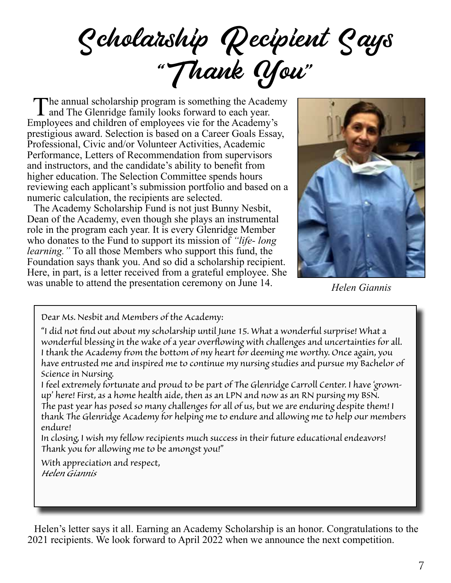Scholarship Recipient Says "Thank You"

The annual scholarship program is something the Academy and The Glenridge family looks forward to each year. Employees and children of employees vie for the Academy's prestigious award. Selection is based on a Career Goals Essay, Professional, Civic and/or Volunteer Activities, Academic Performance, Letters of Recommendation from supervisors and instructors, and the candidate's ability to benefit from higher education. The Selection Committee spends hours reviewing each applicant's submission portfolio and based on a numeric calculation, the recipients are selected.

The Academy Scholarship Fund is not just Bunny Nesbit, Dean of the Academy, even though she plays an instrumental role in the program each year. It is every Glenridge Member who donates to the Fund to support its mission of *"life- long learning."* To all those Members who support this fund, the Foundation says thank you. And so did a scholarship recipient. Here, in part, is a letter received from a grateful employee. She was unable to attend the presentation ceremony on June 14.



*Helen Giannis*

*Dear Ms. Nesbit and Members of the Academy:* 

*"I did not find out about my scholarship until June 15. What a wonderful surprise! What a wonderful blessing in the wake of a year overflowing with challenges and uncertainties for all. I thank the Academy from the bottom of my heart for deeming me worthy. Once again, you have entrusted me and inspired me to continue my nursing studies and pursue my Bachelor of Science in Nursing.*

*I feel extremely fortunate and proud to be part of The Glenridge Carroll Center. I have 'grownup' here! First, as a home health aide, then as an LPN and now as an RN pursing my BSN. The past year has posed so many challenges for all of us, but we are enduring despite them! I thank The Glenridge Academy for helping me to endure and allowing me to help our members endure!*

*In closing, I wish my fellow recipients much success in their future educational endeavors! Thank you for allowing me to be amongst you!"*

*With appreciation and respect, Helen Giannis*

Helen's letter says it all. Earning an Academy Scholarship is an honor. Congratulations to the 2021 recipients. We look forward to April 2022 when we announce the next competition.